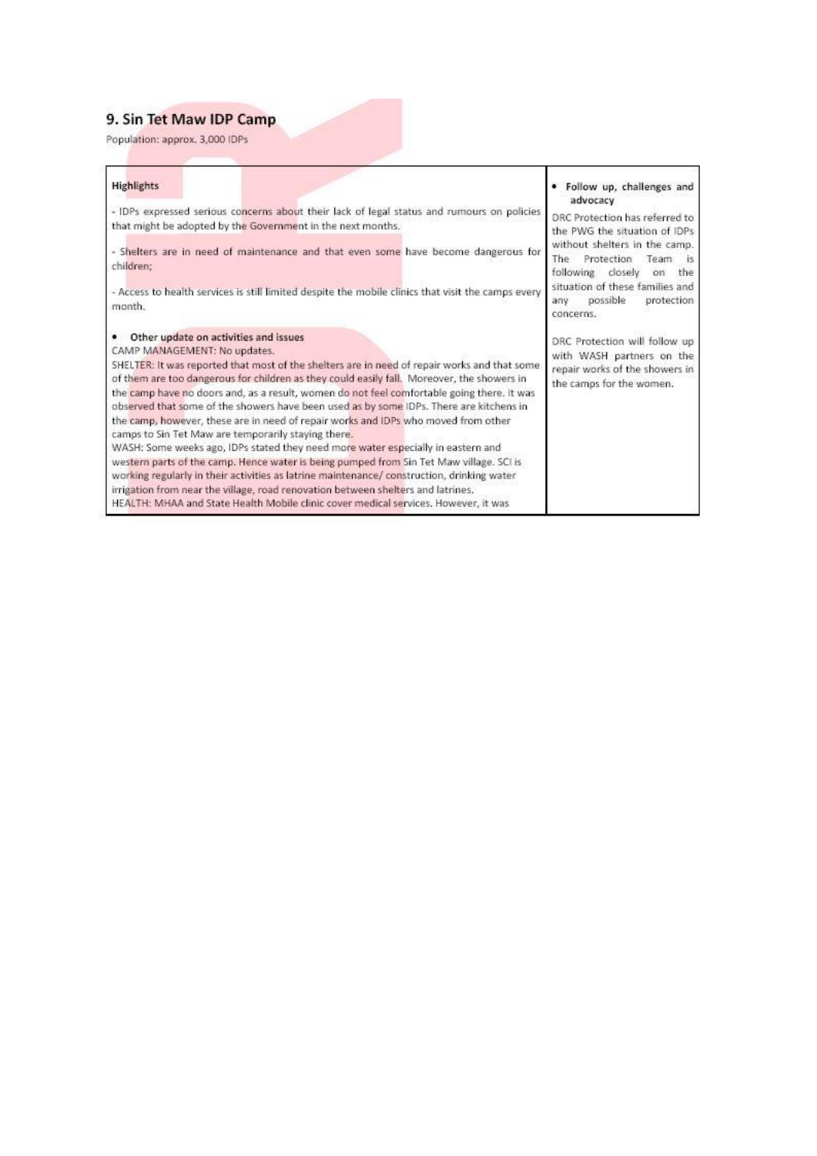## 9. Sin Tet Maw IDP Camp

Population: approx. 3,000 IDPs

| <b>Highlights</b>                                                                                                                                                                                                                                                                                                                                                                                                                                                                                                                                                                                                                                                                                                                                                                                                                                                                                                                                                                                                                                                 | • Follow up, challenges and                                                                                              |
|-------------------------------------------------------------------------------------------------------------------------------------------------------------------------------------------------------------------------------------------------------------------------------------------------------------------------------------------------------------------------------------------------------------------------------------------------------------------------------------------------------------------------------------------------------------------------------------------------------------------------------------------------------------------------------------------------------------------------------------------------------------------------------------------------------------------------------------------------------------------------------------------------------------------------------------------------------------------------------------------------------------------------------------------------------------------|--------------------------------------------------------------------------------------------------------------------------|
| - IDPs expressed serious concerns about their lack of legal status and rumours on policies<br>that might be adopted by the Government in the next months.                                                                                                                                                                                                                                                                                                                                                                                                                                                                                                                                                                                                                                                                                                                                                                                                                                                                                                         | advocacy<br>DRC Protection has referred to<br>the PWG the situation of IDPs                                              |
| - Shelters are in need of maintenance and that even some have become dangerous for<br>children:                                                                                                                                                                                                                                                                                                                                                                                                                                                                                                                                                                                                                                                                                                                                                                                                                                                                                                                                                                   | without shelters in the camp.<br>Protection<br>The<br>Team.<br>-15<br>following closely<br>the<br>on                     |
| - Access to health services is still limited despite the mobile clinics that visit the camps every<br>month.                                                                                                                                                                                                                                                                                                                                                                                                                                                                                                                                                                                                                                                                                                                                                                                                                                                                                                                                                      | situation of these families and<br>possible<br>protection.<br>any<br>concerns.                                           |
| Other update on activities and issues<br>CAMP MANAGEMENT: No updates.<br>SHELTER: It was reported that most of the shelters are in need of repair works and that some<br>of them are too dangerous for children as they could easily fall. Moreover, the showers in<br>the camp have no doors and, as a result, women do not feel comfortable going there. It was<br>observed that some of the showers have been used as by some IDPs. There are kitchens in<br>the camp, however, these are in need of repair works and IDPs who moved from other<br>camps to Sin Tet Maw are temporarily staying there.<br>WASH: Some weeks ago, IDPs stated they need more water especially in eastern and<br>western parts of the camp. Hence water is being pumped from Sin Tet Maw village. SCI is<br>working regularly in their activities as latrine maintenance/ construction, drinking water<br>irrigation from near the village, road renovation between shelters and latrines.<br>HEALTH: MHAA and State Health Mobile clinic cover medical services. However, it was | DRC Protection will follow up<br>with WASH partners on the<br>repair works of the showers in<br>the camps for the women. |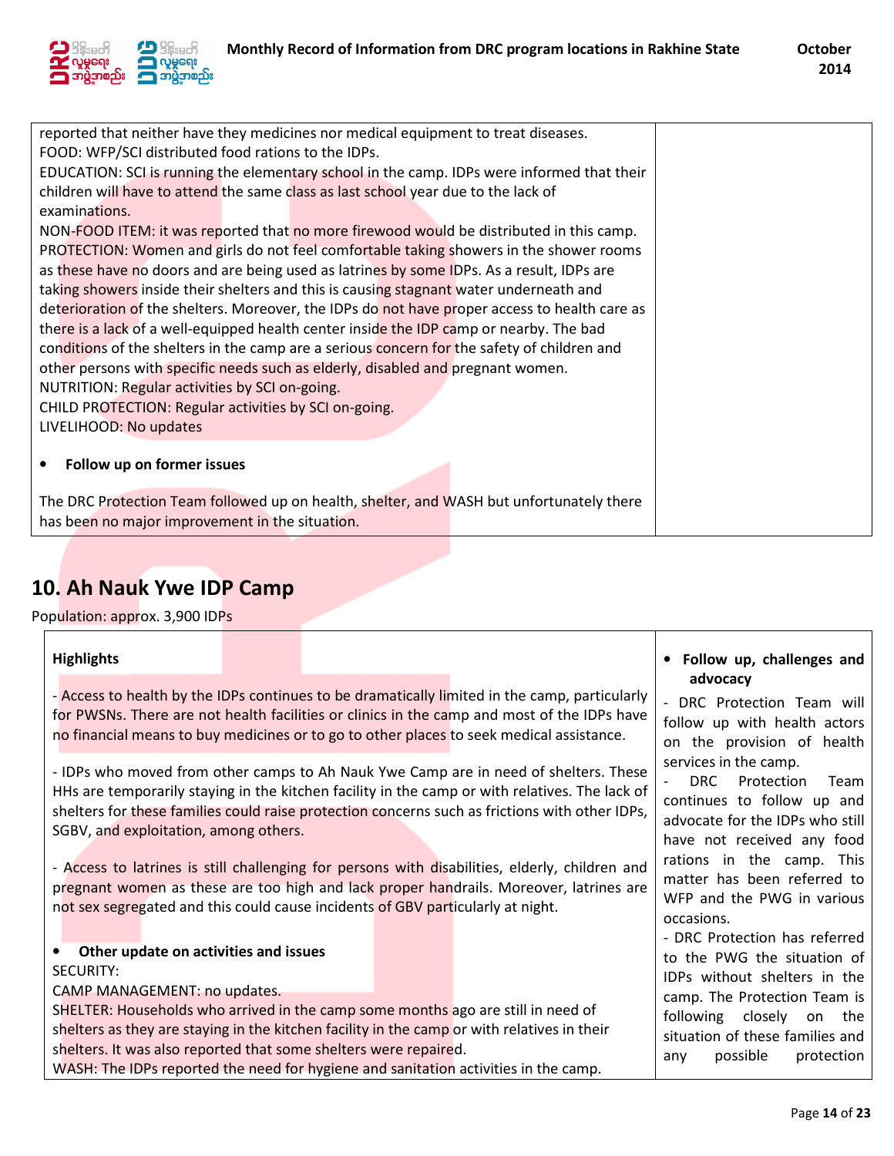

| reported that neither have they medicines nor medical equipment to treat diseases.            |                                                                                        |  |  |  |  |  |
|-----------------------------------------------------------------------------------------------|----------------------------------------------------------------------------------------|--|--|--|--|--|
| FOOD: WFP/SCI distributed food rations to the IDPs.                                           |                                                                                        |  |  |  |  |  |
| EDUCATION: SCI is running the elementary school in the camp. IDPs were informed that their    |                                                                                        |  |  |  |  |  |
| children will have to attend the same class as last school year due to the lack of            |                                                                                        |  |  |  |  |  |
| examinations.                                                                                 |                                                                                        |  |  |  |  |  |
| NON-FOOD ITEM: it was reported that no more firewood would be distributed in this camp.       |                                                                                        |  |  |  |  |  |
| PROTECTION: Women and girls do not feel comfortable taking showers in the shower rooms        |                                                                                        |  |  |  |  |  |
| as these have no doors and are being used as latrines by some IDPs. As a result, IDPs are     |                                                                                        |  |  |  |  |  |
|                                                                                               | taking showers inside their shelters and this is causing stagnant water underneath and |  |  |  |  |  |
| deterioration of the shelters. Moreover, the IDPs do not have proper access to health care as |                                                                                        |  |  |  |  |  |
| there is a lack of a well-equipped health center inside the IDP camp or nearby. The bad       |                                                                                        |  |  |  |  |  |
| conditions of the shelters in the camp are a serious concern for the safety of children and   |                                                                                        |  |  |  |  |  |
| other persons with specific needs such as elderly, disabled and pregnant women.               |                                                                                        |  |  |  |  |  |
| NUTRITION: Regular activities by SCI on-going.                                                |                                                                                        |  |  |  |  |  |
| CHILD PROTECTION: Regular activities by SCI on-going.                                         |                                                                                        |  |  |  |  |  |
| LIVELIHOOD: No updates                                                                        |                                                                                        |  |  |  |  |  |
|                                                                                               |                                                                                        |  |  |  |  |  |
| Follow up on former issues                                                                    |                                                                                        |  |  |  |  |  |
|                                                                                               |                                                                                        |  |  |  |  |  |
| The DRC Protection Team followed up on health, shelter, and WASH but unfortunately there      |                                                                                        |  |  |  |  |  |
| has been no major improvement in the situation.                                               |                                                                                        |  |  |  |  |  |

## 10. Ah Nauk Ywe IDP Camp

Population: approx. 3,900 IDPs

ा

| <b>Highlights</b>                                                                                                                                                                                                                                                                                                                                                                                                                                    |  |                                                                                                                                                                                                                                                                                                                                                                                                                                                                                      | Follow up, challenges and                                                                                                                                                                                                                  |
|------------------------------------------------------------------------------------------------------------------------------------------------------------------------------------------------------------------------------------------------------------------------------------------------------------------------------------------------------------------------------------------------------------------------------------------------------|--|--------------------------------------------------------------------------------------------------------------------------------------------------------------------------------------------------------------------------------------------------------------------------------------------------------------------------------------------------------------------------------------------------------------------------------------------------------------------------------------|--------------------------------------------------------------------------------------------------------------------------------------------------------------------------------------------------------------------------------------------|
|                                                                                                                                                                                                                                                                                                                                                                                                                                                      |  | - Access to health by the IDPs continues to be dramatically limited in the camp, particularly<br>for PWSNs. There are not health facilities or clinics in the camp and most of the IDPs have<br>no financial means to buy medicines or to go to other places to seek medical assistance.                                                                                                                                                                                             | advocacy<br>DRC Protection Team will<br>follow up with health actors<br>on the provision of health                                                                                                                                         |
| SGBV, and exploitation, among others.<br>not sex segregated and this could cause incidents of GBV particularly at night.                                                                                                                                                                                                                                                                                                                             |  | - IDPs who moved from other camps to Ah Nauk Ywe Camp are in need of shelters. These<br>HHs are temporarily staying in the kitchen facility in the camp or with relatives. The lack of<br>shelters for these families could raise protection concerns such as frictions with other IDPs,<br>- Access to latrines is still challenging for persons with disabilities, elderly, children and<br>pregnant women as these are too high and lack proper handrails. Moreover, latrines are | services in the camp.<br>DRC Protection<br>Team<br>continues to follow up and<br>advocate for the IDPs who still<br>have not received any food<br>rations in the camp. This<br>matter has been referred to<br>WFP and the PWG in various   |
| Other update on activities and issues<br>$\bullet$<br><b>SECURITY:</b><br>CAMP MANAGEMENT: no updates.<br>SHELTER: Households who arrived in the camp some months ago are still in need of<br>shelters as they are staying in the kitchen facility in the camp or with relatives in their<br>shelters. It was also reported that some shelters were repaired.<br>WASH: The IDPs reported the need for hygiene and sanitation activities in the camp. |  |                                                                                                                                                                                                                                                                                                                                                                                                                                                                                      | occasions.<br>- DRC Protection has referred<br>to the PWG the situation of<br>IDPs without shelters in the<br>camp. The Protection Team is<br>following closely on the<br>situation of these families and<br>possible<br>protection<br>any |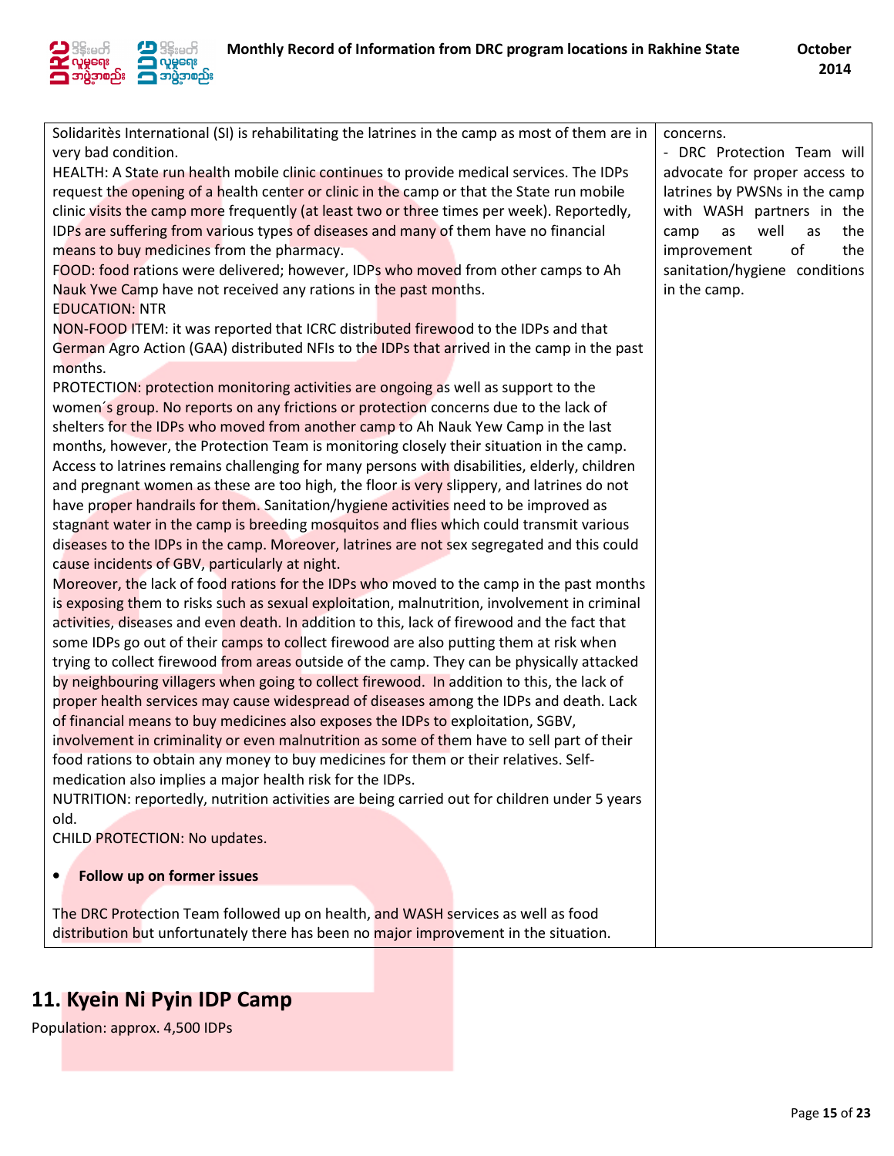



| Solidaritès International (SI) is rehabilitating the latrines in the camp as most of them are in | concerns.                       |
|--------------------------------------------------------------------------------------------------|---------------------------------|
| very bad condition.                                                                              | - DRC Protection Team will      |
| HEALTH: A State run health mobile clinic continues to provide medical services. The IDPs         | advocate for proper access to   |
| request the opening of a health center or clinic in the camp or that the State run mobile        | latrines by PWSNs in the camp   |
| clinic visits the camp more frequently (at least two or three times per week). Reportedly,       | with WASH partners in the       |
| IDPs are suffering from various types of diseases and many of them have no financial             | well<br>camp<br>as<br>as<br>the |
| means to buy medicines from the pharmacy.                                                        | improvement<br>of<br>the        |
| FOOD: food rations were delivered; however, IDPs who moved from other camps to Ah                | sanitation/hygiene conditions   |
| Nauk Ywe Camp have not received any rations in the past months.                                  | in the camp.                    |
| <b>EDUCATION: NTR</b>                                                                            |                                 |
| NON-FOOD ITEM: it was reported that ICRC distributed firewood to the IDPs and that               |                                 |
| German Agro Action (GAA) distributed NFIs to the IDPs that arrived in the camp in the past       |                                 |
| months.                                                                                          |                                 |
| PROTECTION: protection monitoring activities are ongoing as well as support to the               |                                 |
|                                                                                                  |                                 |
| women's group. No reports on any frictions or protection concerns due to the lack of             |                                 |
| shelters for the IDPs who moved from another camp to Ah Nauk Yew Camp in the last                |                                 |
| months, however, the Protection Team is monitoring closely their situation in the camp.          |                                 |
| Access to latrines remains challenging for many persons with disabilities, elderly, children     |                                 |
| and pregnant women as these are too high, the floor is very slippery, and latrines do not        |                                 |
| have proper handrails for them. Sanitation/hygiene activities need to be improved as             |                                 |
| stagnant water in the camp is breeding mosquitos and flies which could transmit various          |                                 |
| diseases to the IDPs in the camp. Moreover, latrines are not sex segregated and this could       |                                 |
| cause incidents of GBV, particularly at night.                                                   |                                 |
| Moreover, the lack of food rations for the IDPs who moved to the camp in the past months         |                                 |
| is exposing them to risks such as sexual exploitation, malnutrition, involvement in criminal     |                                 |
| activities, diseases and even death. In addition to this, lack of firewood and the fact that     |                                 |
| some IDPs go out of their camps to collect firewood are also putting them at risk when           |                                 |
| trying to collect firewood from areas outside of the camp. They can be physically attacked       |                                 |
| by neighbouring villagers when going to collect firewood. In addition to this, the lack of       |                                 |
| proper health services may cause widespread of diseases among the IDPs and death. Lack           |                                 |
| of financial means to buy medicines also exposes the IDPs to exploitation, SGBV,                 |                                 |
| involvement in criminality or even malnutrition as some of them have to sell part of their       |                                 |
| food rations to obtain any money to buy medicines for them or their relatives. Self-             |                                 |
| medication also implies a major health risk for the IDPs.                                        |                                 |
| NUTRITION: reportedly, nutrition activities are being carried out for children under 5 years     |                                 |
| old.                                                                                             |                                 |
| CHILD PROTECTION: No updates.                                                                    |                                 |
|                                                                                                  |                                 |
| Follow up on former issues<br>٠                                                                  |                                 |
|                                                                                                  |                                 |
| The DRC Protection Team followed up on health, and WASH services as well as food                 |                                 |
| distribution but unfortunately there has been no major improvement in the situation.             |                                 |

## 11. Kyein Ni Pyin IDP Camp

Population: approx. 4,500 IDPs